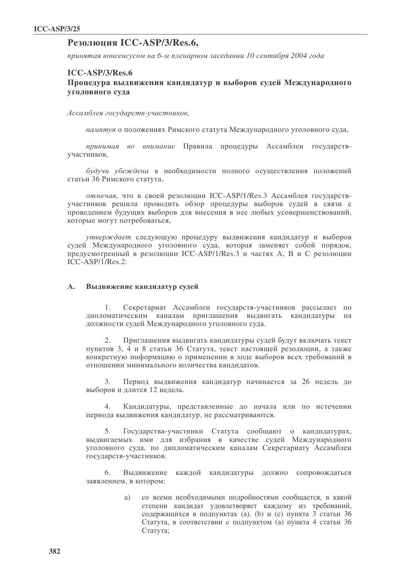# Резолюция ICC-ASP/3/Res.6.

принятая консенсусом на 6-м пленарном заседании 10 сентября 2004 года

## **ICC-ASP/3/Res.6**

## Процедура выдвижения кандидатур и выборов судей Международного уголовного суда

Ассамблея государств-участников,

памятуя о положениях Римского статута Международного уголовного суда,

принимая во внимание Правила процедуры Ассамблеи государствучастников,

будучи убеждена в необходимости полного осуществления положений статьи 36 Римского статута,

отмечая, что в своей резолюции ICC-ASP/1/Res.3 Ассамблея государствучастников решила проводить обзор процедуры выборов судей в связи с проведением будущих выборов для внесения в нее любых усовершенствований, которые могут потребоваться,

утверждает следующую процедуру выдвижения кандидатур и выборов судей Международного уголовного суда, которая заменяет собой порядок, предусмотренный в резолюции ICC-ASP/1/Res.3 и частях А, В и С резолюции  $ICC-ASP/1/Res.2$ :

#### $\mathbf{A}$ . Выдвижение кандидатур судей

Секретариат Ассамблеи государств-участников рассылает по 1. дипломатическим каналам приглашения выдвигать кандидатуры на должности судей Международного уголовного суда.

 $2.$ Приглашения выдвигать кандидатуры судей будут включать текст пунктов 3, 4 и 8 статьи 36 Статута, текст настоящей резолюции, а также конкретную информацию о применении в ходе выборов всех требований в отношении минимального количества кандидатов.

 $3.$ Период выдвижения кандидатур начинается за 26 недель до выборов и длится 12 недель.

Кандидатуры, представленные до начала или по истечении  $4.$ периода выдвижения кандидатур, не рассматриваются.

Государства-участники Статута сообщают о кандидатурах, 5. выдвигаемых ими для избрания в качестве судей Международного уголовного суда, по дипломатическим каналам Секретариату Ассамблеи государств-участников.

Выдвижение каждой кандидатуры должно сопровождаться 6. заявлением, в котором:

> со всеми необходимыми подробностями сообщается, в какой a) степени кандидат удовлетворяет каждому из требований, содержащихся в подпунктах (а), (b) и (с) пункта 3 статьи 36 Статута, в соответствии с подпунктом (а) пункта 4 статьи 36 Статута;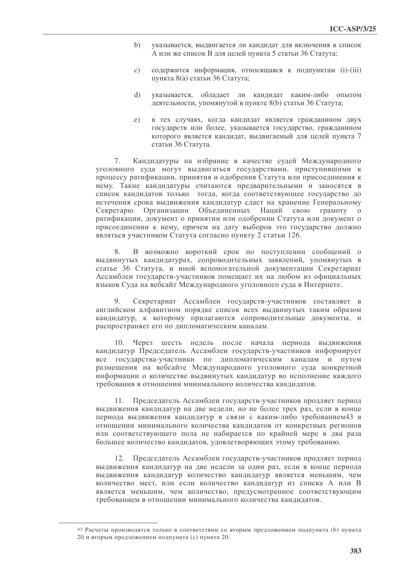- $b)$ указывается, выдвигается ли кандидат для включения в список А или же список В для целей пункта 5 статьи 36 Статута;
- содержится информация, относящаяся к подпунктам (i)-(iii)  $\mathcal{C}$ ) пункта 8(а) статьи 36 Статута;
- $\mathbf{d}$ указывается, обладает ли кандидат каким-либо опытом деятельности, упомянутой в пункте 8(b) статьи 36 Статута;
- в тех случаях, когда кандидат является гражданином двух  $e)$ государств или более, указывается государство, гражданином которого является кандидат, выдвигаемый для целей пункта 7 статьи 36 Статута.

Кандидатуры на избрание в качестве судей Международного 7. уголовного суда могут выдвигаться государствами, приступившими к процессу ратификации, принятия и одобрения Статута или присоединения к нему. Такие кандидатуры считаются предварительными и заносятся в список кандидатов только тогда, когда соответствующее государство до истечения срока выдвижения кандидатур сдаст на хранение Генеральному Секретарю Организации Объединенных Наций свою грамоту  $\Omega$ ратификации, документ о принятии или одобрении Статута или документ о присоединении к нему, причем на дату выборов это государство должно являться участником Статута согласно пункту 2 статьи 126.

8. В возможно короткий срок по поступлении сообщений о выдвинутых кандидатурах, сопроводительных заявлений, упомянутых в статье 36 Статута, и иной вспомогательной документации Секретариат Ассамблеи государств-участников помещает их на любом из официальных языков Суда на вебсайт Международного уголовного суда в Интернете.

Секретариат Ассамблеи государств-участников составляет в 9. английском алфавитном порядке список всех выдвинутых таким образом кандидатур, к которому прилагаются сопроводительные документы, и распространяет его по дипломатическим каналам.

10. Через шесть недель после начала периода выдвижения кандидатур Председатель Ассамблеи государств-участников информирует все государства-участники по дипломатическим каналам и путем размещения на вебсайте Международного уголовного суда конкретной информации о количестве выдвинутых кандидатур во исполнение каждого требования в отношении минимального количества кандидатов.

11. Председатель Ассамблеи государств-участников продляет период выдвижения кандидатур на две недели, но не более трех раз, если в конце периода выдвижения кандидатур в связи с каким-либо требованием43 в отношении минимального количества кандидатов от конкретных регионов или соответствующего пола не набирается по крайней мере в два раза большее количество кандидатов, удовлетворяющих этому требованию.

12. Председатель Ассамблеи государств-участников продляет период выдвижения кандидатур на две недели за один раз, если в конце периода выдвижения кандидатур количество кандидатур является меньшим, чем количество мест, или если количество кандилатур из списка А или В является меньшим, чем количество, предусмотренное соответствующим требованием в отношении минимального количества кандидатов.

<sup>43</sup> Расчеты производятся только в соответствии со вторым предложением подпункта (b) пункта 20 и вторым предложением подпункта (с) пункта 20.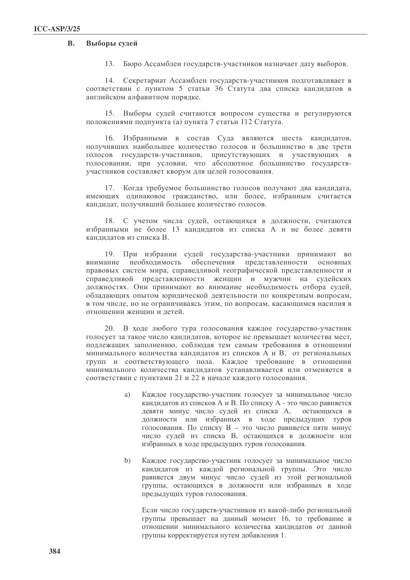#### $\overline{\mathbf{R}}$ . Выборы судей

13. Бюро Ассамблеи государств-участников назначает дату выборов.

14. Секретариат Ассамблеи государств-участников подготавливает в соответствии с пунктом 5 статьи 36 Статута два списка кандидатов в английском алфавитном порядке.

15. Выборы судей считаются вопросом существа и регулируются положениями подпункта (а) пункта 7 статьи 112 Статута.

16. Избранными в состав Суда являются шесть кандидатов, получивших наибольшее количество голосов и большинство в две трети голосов государств-участников, присутствующих и участвующих в голосовании, при условии, что абсолютное большинство государствучастников составляет кворум для целей голосования.

17. Когда требуемое большинство голосов получают два кандидата, имеющих одинаковое гражданство, или более, избранным считается кандидат, получивший большее количество голосов.

18. С учетом числа судей, остающихся в должности, считаются избранными не более 13 кандидатов из списка А и не более девяти кандидатов из списка В.

19. При избрании судей государства-участники принимают во внимание необходимость обеспечения представленности основных правовых систем мира, справедливой географической представленности и справедливой представленности женщин и мужчин на судейских должностях. Они принимают во внимание необходимость отбора судей, обладающих опытом юридической деятельности по конкретным вопросам, в том числе, но не ограничиваясь этим, по вопросам, касающимся насилия в отношении женщин и детей.

20. В ходе любого тура голосования каждое государство-участник голосует за такое число кандидатов, которое не превышает количества мест, подлежащих заполнению, соблюдая тем самым требования в отношении минимального количества кандидатов из списков А и В, от региональных групп и соответствующего пола. Каждое требование в отношении минимального количества кандидатов устанавливается или отменяется в соответствии с пунктами 21 и 22 в начале каждого голосования.

- a) Каждое государство-участник голосует за минимальное число кандидатов из списков А и В. По списку А - это число равняется девяти минус число судей из списка А, остающихся в должности или избранных в ходе предыдущих туров голосования. По списку В - это число равняется пяти минус число судей из списка В, остающихся в должности или избранных в ходе предыдущих туров голосования.
- Каждое государство-участник голосует за минимальное число  $b)$ кандидатов из каждой региональной группы. Это число равняется двум минус число судей из этой региональной группы, остающихся в должности или избранных в ходе предыдущих туров голосования.

Если число государств-участников из какой-либо региональной группы превышает на данный момент 16, то требование в отношении минимального количества кандидатов от данной группы корректируется путем добавления 1.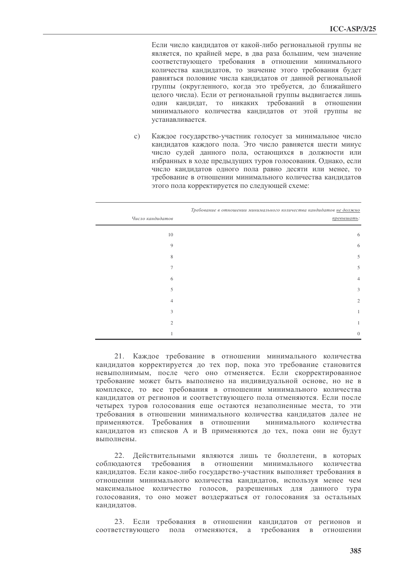Если число кандидатов от какой-либо региональной группы не является, по крайней мере, в два раза большим, чем значение соответствующего требования в отношении минимального количества кандидатов, то значение этого требования будет равняться половине числа кандидатов от данной региональной группы (округленного, когда это требуется, до ближайшего целого числа). Если от региональной группы выдвигается лишь один кандидат, то никаких требований в отношении минимального количества кандидатов от этой группы не устанавливается.

Каждое государство-участник голосует за минимальное число  $\mathbf{c})$ кандидатов каждого пола. Это число равняется шести минус число судей данного пола, остающихся в должности или избранных в ходе предыдущих туров голосования. Однако, если число кандидатов одного пола равно десяти или менее, то требование в отношении минимального количества кандидатов этого пола корректируется по следующей схеме:

| Число кандидатов | Требование в отношении минимального количества кандидатов не должно<br>превышать: |
|------------------|-----------------------------------------------------------------------------------|
|                  |                                                                                   |
| $10\,$           | 6                                                                                 |
| 9                | 6                                                                                 |
| 8                | 5                                                                                 |
| 7                | 5                                                                                 |
| 6                | $\overline{4}$                                                                    |
| 5                | 3                                                                                 |
| $\overline{4}$   | $\mathfrak{2}$                                                                    |
| 3                | $\mathbf{1}$                                                                      |
| $\overline{c}$   | 1                                                                                 |
|                  | $\mathbf{0}$                                                                      |

21. Каждое требование в отношении минимального количества кандидатов корректируется до тех пор, пока это требование становится невыполнимым, после чего оно отменяется. Если скорректированное требование может быть выполнено на индивидуальной основе, но не в комплексе, то все требования в отношении минимального количества кандидатов от регионов и соответствующего пола отменяются. Если после четырех туров голосования еще остаются незаполненные места, то эти требования в отношении минимального количества кандидатов далее не применяются. Требования в отношении минимального количества кандидатов из списков А и В применяются до тех, пока они не будут выполнены.

22. Действительными являются лишь те бюллетени, в которых соблюдаются требования в отношении минимального количества кандидатов. Если какое-либо государство-участник выполняет требования в отношении минимального количества кандидатов, используя менее чем максимальное количество голосов, разрешенных для данного тура голосования, то оно может воздержаться от голосования за остальных кандидатов.

23. Если требования в отношении кандидатов от регионов и соответствующего пола отменяются, а требования в отношении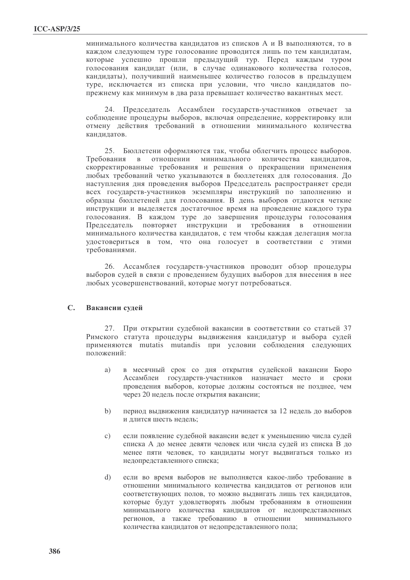минимального количества канлилатов из списков А и В выполняются, то в каждом следующем туре голосование проводится лишь по тем кандидатам. которые успешно прошли прелылуший тур. Перед каждым туром голосования канлилат (или, в случае одинакового количества голосов, кандидаты), получивший наименьшее количество голосов в предыдущем туре, исключается из списка при условии, что число кандидатов попрежнему как минимум в два раза превышает количество вакантных мест.

24. Председатель Ассамблеи государств-участников отвечает за соблюдение процедуры выборов, включая определение, корректировку или отмену действия требований в отношении минимального количества канлилатов.

25. Бюллетени оформляются так, чтобы облегчить процесс выборов. отношении минимального Требования в количества канлилатов. скорректированные требования и решения о прекращении применения любых требований четко указываются в бюллетенях для голосования. До наступления дня проведения выборов Председатель распространяет среди всех государств-участников экземпляры инструкций по заполнению и образцы бюллетеней для голосования. В день выборов отдаются четкие инструкции и выделяется достаточное время на проведение каждого тура голосования. В каждом туре до завершения процедуры голосования Председатель повторяет инструкции и требования в отношении минимального количества кандидатов, с тем чтобы каждая делегация могла удостовериться в том, что она голосует в соответствии с этими требованиями.

26. Ассамблея государств-участников проводит обзор процедуры выборов судей в связи с проведением будущих выборов для внесения в нее любых усовершенствований, которые могут потребоваться.

#### $\mathbb{C}$ . Вакансии судей

27. При открытии судебной вакансии в соответствии со статьей 37 Римского статута процедуры выдвижения кандидатур и выбора судей применяются mutatis mutandis при условии соблюдения следующих положений:

- в месячный срок со дня открытия судейской вакансии Бюро a) Ассамблеи государств-участников назначает место и сроки проведения выборов, которые должны состояться не позднее, чем через 20 недель после открытия вакансии;
- $b)$ период выдвижения кандидатур начинается за 12 недель до выборов и ллится шесть нелель:
- $\mathcal{C}$ ) если появление судебной вакансии ведет к уменьшению числа судей списка А до менее девяти человек или числа судей из списка В до менее пяти человек, то кандидаты могут выдвигаться только из недопредставленного списка;
- $\mathrm{d}$ если во время выборов не выполняется какое-либо требование в отношении минимального количества кандидатов от регионов или соответствующих полов, то можно выдвигать лишь тех кандидатов, которые будут удовлетворять любым требованиям в отношении минимального количества кандидатов от недопредставленных регионов, а также требованию в отношении минимального количества кандидатов от недопредставленного пола;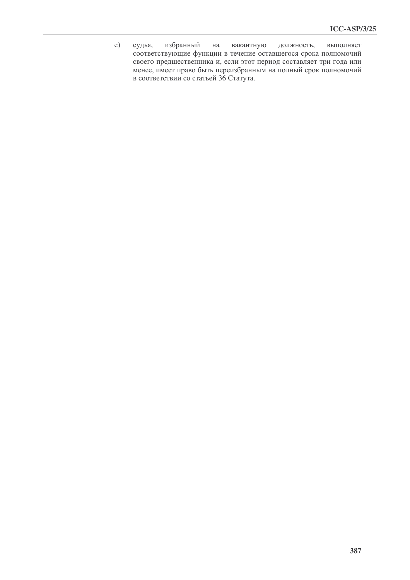$e)$ избранный вакантную судья, на должность, выполняет соответствующие функции в течение оставшегося срока полномочий своего предшественника и, если этот период составляет три года или менее, имеет право быть переизбранным на полный срок полномочий в соответствии со статьей 36 Статута.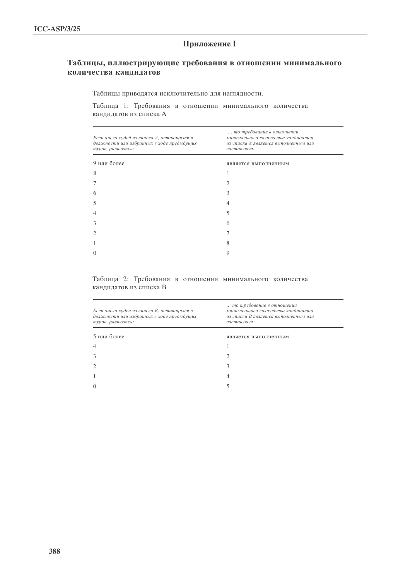# **Приложение I**

## Таблицы, иллюстрирующие требования в отношении минимального количества кандидатов

Таблицы приводятся исключительно для наглядности.

Таблица 1: Требования в отношении минимального количества кандидатов из списка А

| Если число судей из списка А, остающихся в<br>должности или избранных в ходе предыдущих<br>туров, равняется: | то требование в отношении<br>минимального количества кандидатов<br>из списка А является выполненным или<br>составляет: |  |  |
|--------------------------------------------------------------------------------------------------------------|------------------------------------------------------------------------------------------------------------------------|--|--|
| 9 или более                                                                                                  | является выполненным                                                                                                   |  |  |
| 8                                                                                                            |                                                                                                                        |  |  |
|                                                                                                              |                                                                                                                        |  |  |
| 6                                                                                                            | 3                                                                                                                      |  |  |
| 5                                                                                                            | 4                                                                                                                      |  |  |
| $\overline{4}$                                                                                               | 5                                                                                                                      |  |  |
| 3                                                                                                            | 6                                                                                                                      |  |  |
| $\mathcal{D}_{\mathcal{L}}$                                                                                  |                                                                                                                        |  |  |
|                                                                                                              | 8                                                                                                                      |  |  |
| $\Omega$                                                                                                     | 9                                                                                                                      |  |  |
|                                                                                                              |                                                                                                                        |  |  |

### Таблица 2: Требования в отношении минимального количества кандидатов из списка В

| Если число судей из списка В, остающихся в<br>должности или избранных в ходе предыдущих<br>туров, равняется: | то требование в отношении<br>минимального количества кандидатов<br>из списка В является выполненным или<br>составляет: |  |  |
|--------------------------------------------------------------------------------------------------------------|------------------------------------------------------------------------------------------------------------------------|--|--|
| 5 или более                                                                                                  | является выполненным                                                                                                   |  |  |
| $\overline{4}$                                                                                               |                                                                                                                        |  |  |
| 3                                                                                                            |                                                                                                                        |  |  |
| $\overline{2}$                                                                                               | 3                                                                                                                      |  |  |
|                                                                                                              | 4                                                                                                                      |  |  |
| $\Omega$                                                                                                     |                                                                                                                        |  |  |
|                                                                                                              |                                                                                                                        |  |  |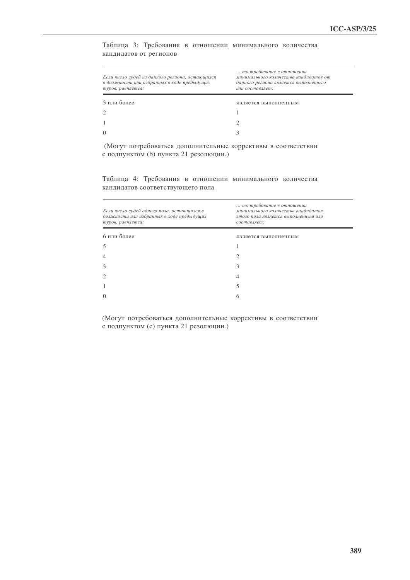Таблица 3: Требования в отношении минимального количества кандидатов от регионов

| Если число судей из данного региона, остающихся<br>в должности или избранных в ходе предыдущих<br>туров, равняется: | то требование в отношении<br>минимального количества кандидатов от<br>данного региона является выполненным<br>или составляет: |  |
|---------------------------------------------------------------------------------------------------------------------|-------------------------------------------------------------------------------------------------------------------------------|--|
| 3 или более                                                                                                         | является выполненным                                                                                                          |  |
|                                                                                                                     |                                                                                                                               |  |
|                                                                                                                     |                                                                                                                               |  |
|                                                                                                                     |                                                                                                                               |  |

(Могут потребоваться дополнительные коррективы в соответствии с подпунктом (b) пункта 21 резолюции.)

Таблица 4: Требования в отношении минимального количества кандидатов соответствующего пола

| Если число судей одного пола, остающихся в<br>должности или избранных в ходе предыдущих<br>туров, равняется: | то требование в отношении<br>минимального количества кандидатов<br>этого пола является выполненным или<br>составляет: |  |  |
|--------------------------------------------------------------------------------------------------------------|-----------------------------------------------------------------------------------------------------------------------|--|--|
| 6 или более                                                                                                  | является выполненным                                                                                                  |  |  |
| 5                                                                                                            |                                                                                                                       |  |  |
| 4                                                                                                            | 2                                                                                                                     |  |  |
| 3                                                                                                            | 3                                                                                                                     |  |  |
| 2                                                                                                            | 4                                                                                                                     |  |  |
| 1                                                                                                            | 5                                                                                                                     |  |  |
| $\theta$                                                                                                     | 6                                                                                                                     |  |  |
|                                                                                                              |                                                                                                                       |  |  |

(Могут потребоваться дополнительные коррективы в соответствии с подпунктом (с) пункта 21 резолюции.)